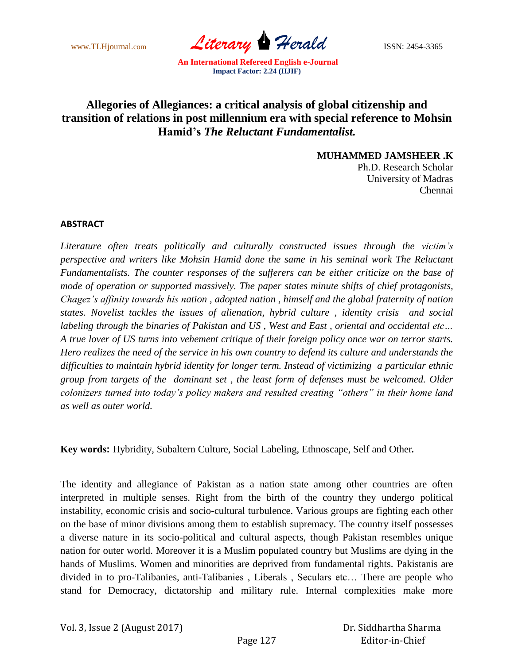www.TLHjournal.com *Literary Herald*ISSN: 2454-3365

## **Allegories of Allegiances: a critical analysis of global citizenship and transition of relations in post millennium era with special reference to Mohsin Hamid's** *The Reluctant Fundamentalist.*

**MUHAMMED JAMSHEER .K**

Ph.D. Research Scholar University of Madras Chennai

## **ABSTRACT**

*Literature often treats politically and culturally constructed issues through the victim's perspective and writers like Mohsin Hamid done the same in his seminal work The Reluctant Fundamentalists. The counter responses of the sufferers can be either criticize on the base of mode of operation or supported massively. The paper states minute shifts of chief protagonists, Chagez's affinity towards his nation , adopted nation , himself and the global fraternity of nation states. Novelist tackles the issues of alienation, hybrid culture , identity crisis and social labeling through the binaries of Pakistan and US , West and East , oriental and occidental etc… A true lover of US turns into vehement critique of their foreign policy once war on terror starts. Hero realizes the need of the service in his own country to defend its culture and understands the difficulties to maintain hybrid identity for longer term. Instead of victimizing a particular ethnic group from targets of the dominant set , the least form of defenses must be welcomed. Older colonizers turned into today's policy makers and resulted creating "others" in their home land as well as outer world.*

**Key words:** Hybridity, Subaltern Culture, Social Labeling, Ethnoscape, Self and Other*.*

The identity and allegiance of Pakistan as a nation state among other countries are often interpreted in multiple senses. Right from the birth of the country they undergo political instability, economic crisis and socio-cultural turbulence. Various groups are fighting each other on the base of minor divisions among them to establish supremacy. The country itself possesses a diverse nature in its socio-political and cultural aspects, though Pakistan resembles unique nation for outer world. Moreover it is a Muslim populated country but Muslims are dying in the hands of Muslims. Women and minorities are deprived from fundamental rights. Pakistanis are divided in to pro-Talibanies, anti-Talibanies , Liberals , Seculars etc… There are people who stand for Democracy, dictatorship and military rule. Internal complexities make more

Vol. 3, Issue 2 (August 2017)

 Dr. Siddhartha Sharma Editor-in-Chief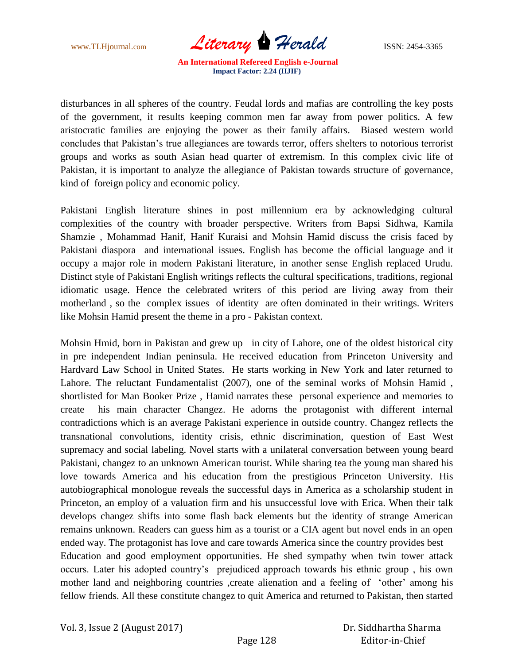www.TLHjournal.com *Literary Herald* ISSN: 2454-3365

disturbances in all spheres of the country. Feudal lords and mafias are controlling the key posts of the government, it results keeping common men far away from power politics. A few aristocratic families are enjoying the power as their family affairs. Biased western world concludes that Pakistan's true allegiances are towards terror, offers shelters to notorious terrorist groups and works as south Asian head quarter of extremism. In this complex civic life of Pakistan, it is important to analyze the allegiance of Pakistan towards structure of governance, kind of foreign policy and economic policy.

Pakistani English literature shines in post millennium era by acknowledging cultural complexities of the country with broader perspective. Writers from Bapsi Sidhwa, Kamila Shamzie , Mohammad Hanif, Hanif Kuraisi and Mohsin Hamid discuss the crisis faced by Pakistani diaspora and international issues. English has become the official language and it occupy a major role in modern Pakistani literature, in another sense English replaced Urudu. Distinct style of Pakistani English writings reflects the cultural specifications, traditions, regional idiomatic usage. Hence the celebrated writers of this period are living away from their motherland , so the complex issues of identity are often dominated in their writings. Writers like Mohsin Hamid present the theme in a pro - Pakistan context.

Mohsin Hmid, born in Pakistan and grew up in city of Lahore, one of the oldest historical city in pre independent Indian peninsula. He received education from Princeton University and Hardvard Law School in United States. He starts working in New York and later returned to Lahore. The reluctant Fundamentalist (2007), one of the seminal works of Mohsin Hamid , shortlisted for Man Booker Prize , Hamid narrates these personal experience and memories to create his main character Changez. He adorns the protagonist with different internal contradictions which is an average Pakistani experience in outside country. Changez reflects the transnational convolutions, identity crisis, ethnic discrimination, question of East West supremacy and social labeling. Novel starts with a unilateral conversation between young beard Pakistani, changez to an unknown American tourist. While sharing tea the young man shared his love towards America and his education from the prestigious Princeton University. His autobiographical monologue reveals the successful days in America as a scholarship student in Princeton, an employ of a valuation firm and his unsuccessful love with Erica. When their talk develops changez shifts into some flash back elements but the identity of strange American remains unknown. Readers can guess him as a tourist or a CIA agent but novel ends in an open ended way. The protagonist has love and care towards America since the country provides best Education and good employment opportunities. He shed sympathy when twin tower attack occurs. Later his adopted country's prejudiced approach towards his ethnic group , his own mother land and neighboring countries , create alienation and a feeling of 'other' among his fellow friends. All these constitute changez to quit America and returned to Pakistan, then started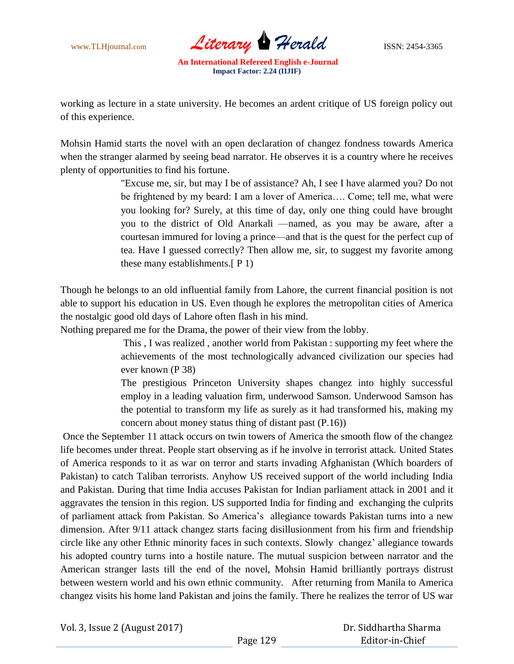

working as lecture in a state university. He becomes an ardent critique of US foreign policy out of this experience.

Mohsin Hamid starts the novel with an open declaration of changez fondness towards America when the stranger alarmed by seeing bead narrator. He observes it is a country where he receives plenty of opportunities to find his fortune.

> "Excuse me, sir, but may I be of assistance? Ah, I see I have alarmed you? Do not be frightened by my beard: I am a lover of America…. Come; tell me, what were you looking for? Surely, at this time of day, only one thing could have brought you to the district of Old Anarkali —named, as you may be aware, after a courtesan immured for loving a prince—and that is the quest for the perfect cup of tea. Have I guessed correctly? Then allow me, sir, to suggest my favorite among these many establishments.[ P 1)

Though he belongs to an old influential family from Lahore, the current financial position is not able to support his education in US. Even though he explores the metropolitan cities of America the nostalgic good old days of Lahore often flash in his mind.

Nothing prepared me for the Drama, the power of their view from the lobby.

 This , I was realized , another world from Pakistan : supporting my feet where the achievements of the most technologically advanced civilization our species had ever known (P 38)

The prestigious Princeton University shapes changez into highly successful employ in a leading valuation firm, underwood Samson. Underwood Samson has the potential to transform my life as surely as it had transformed his, making my concern about money status thing of distant past (P.16))

Once the September 11 attack occurs on twin towers of America the smooth flow of the changez life becomes under threat. People start observing as if he involve in terrorist attack. United States of America responds to it as war on terror and starts invading Afghanistan (Which boarders of Pakistan) to catch Taliban terrorists. Anyhow US received support of the world including India and Pakistan. During that time India accuses Pakistan for Indian parliament attack in 2001 and it aggravates the tension in this region. US supported India for finding and exchanging the culprits of parliament attack from Pakistan. So America's allegiance towards Pakistan turns into a new dimension. After 9/11 attack changez starts facing disillusionment from his firm and friendship circle like any other Ethnic minority faces in such contexts. Slowly changez' allegiance towards his adopted country turns into a hostile nature. The mutual suspicion between narrator and the American stranger lasts till the end of the novel, Mohsin Hamid brilliantly portrays distrust between western world and his own ethnic community. After returning from Manila to America changez visits his home land Pakistan and joins the family. There he realizes the terror of US war

Vol. 3, Issue 2 (August 2017)

 Dr. Siddhartha Sharma Editor-in-Chief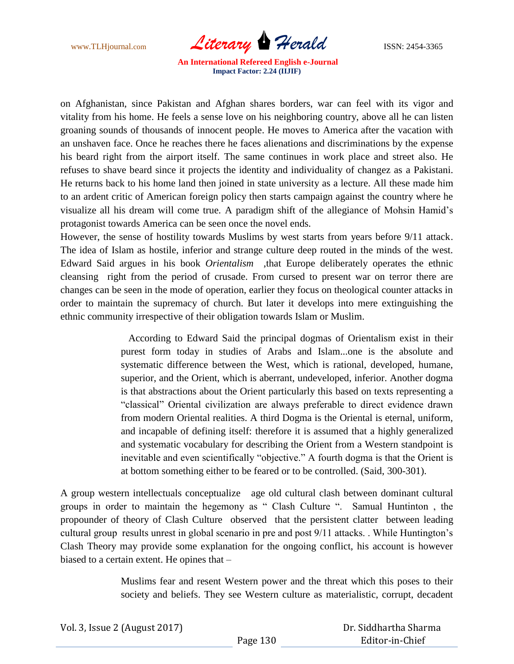www.TLHjournal.com *Literary* **Herald ISSN:** 2454-3365

on Afghanistan, since Pakistan and Afghan shares borders, war can feel with its vigor and vitality from his home. He feels a sense love on his neighboring country, above all he can listen groaning sounds of thousands of innocent people. He moves to America after the vacation with an unshaven face. Once he reaches there he faces alienations and discriminations by the expense his beard right from the airport itself. The same continues in work place and street also. He refuses to shave beard since it projects the identity and individuality of changez as a Pakistani. He returns back to his home land then joined in state university as a lecture. All these made him to an ardent critic of American foreign policy then starts campaign against the country where he visualize all his dream will come true. A paradigm shift of the allegiance of Mohsin Hamid's protagonist towards America can be seen once the novel ends.

However, the sense of hostility towards Muslims by west starts from years before 9/11 attack. The idea of Islam as hostile, inferior and strange culture deep routed in the minds of the west. Edward Said argues in his book *Orientalism* ,that Europe deliberately operates the ethnic cleansing right from the period of crusade. From cursed to present war on terror there are changes can be seen in the mode of operation, earlier they focus on theological counter attacks in order to maintain the supremacy of church. But later it develops into mere extinguishing the ethnic community irrespective of their obligation towards Islam or Muslim.

> According to Edward Said the principal dogmas of Orientalism exist in their purest form today in studies of Arabs and Islam...one is the absolute and systematic difference between the West, which is rational, developed, humane, superior, and the Orient, which is aberrant, undeveloped, inferior. Another dogma is that abstractions about the Orient particularly this based on texts representing a ―classical‖ Oriental civilization are always preferable to direct evidence drawn from modern Oriental realities. A third Dogma is the Oriental is eternal, uniform, and incapable of defining itself: therefore it is assumed that a highly generalized and systematic vocabulary for describing the Orient from a Western standpoint is inevitable and even scientifically "objective." A fourth dogma is that the Orient is at bottom something either to be feared or to be controlled. (Said, 300-301).

A group western intellectuals conceptualize age old cultural clash between dominant cultural groups in order to maintain the hegemony as " Clash Culture ". Samual Huntinton, the propounder of theory of Clash Culture observed that the persistent clatter between leading cultural group results unrest in global scenario in pre and post 9/11 attacks. . While Huntington's Clash Theory may provide some explanation for the ongoing conflict, his account is however biased to a certain extent. He opines that –

> Muslims fear and resent Western power and the threat which this poses to their society and beliefs. They see Western culture as materialistic, corrupt, decadent

| Vol. 3, Issue 2 (August 2017) |          | Dr. Siddhartha Sharma |
|-------------------------------|----------|-----------------------|
|                               | Page 130 | Editor-in-Chief       |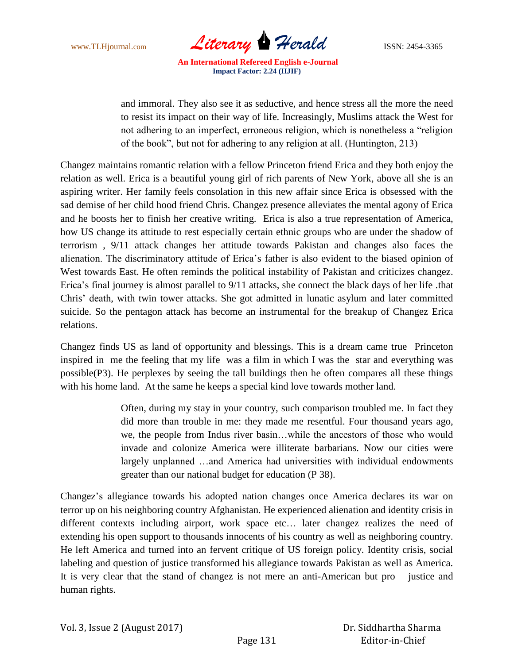www.TLHjournal.com *Literary Herald* ISSN: 2454-3365

and immoral. They also see it as seductive, and hence stress all the more the need to resist its impact on their way of life. Increasingly, Muslims attack the West for not adhering to an imperfect, erroneous religion, which is nonetheless a "religion of the book‖, but not for adhering to any religion at all. (Huntington, 213)

Changez maintains romantic relation with a fellow Princeton friend Erica and they both enjoy the relation as well. Erica is a beautiful young girl of rich parents of New York, above all she is an aspiring writer. Her family feels consolation in this new affair since Erica is obsessed with the sad demise of her child hood friend Chris. Changez presence alleviates the mental agony of Erica and he boosts her to finish her creative writing. Erica is also a true representation of America, how US change its attitude to rest especially certain ethnic groups who are under the shadow of terrorism , 9/11 attack changes her attitude towards Pakistan and changes also faces the alienation. The discriminatory attitude of Erica's father is also evident to the biased opinion of West towards East. He often reminds the political instability of Pakistan and criticizes changez. Erica's final journey is almost parallel to 9/11 attacks, she connect the black days of her life .that Chris' death, with twin tower attacks. She got admitted in lunatic asylum and later committed suicide. So the pentagon attack has become an instrumental for the breakup of Changez Erica relations.

Changez finds US as land of opportunity and blessings. This is a dream came true Princeton inspired in me the feeling that my life was a film in which I was the star and everything was possible(P3). He perplexes by seeing the tall buildings then he often compares all these things with his home land. At the same he keeps a special kind love towards mother land.

> Often, during my stay in your country, such comparison troubled me. In fact they did more than trouble in me: they made me resentful. Four thousand years ago, we, the people from Indus river basin…while the ancestors of those who would invade and colonize America were illiterate barbarians. Now our cities were largely unplanned …and America had universities with individual endowments greater than our national budget for education (P 38).

Changez's allegiance towards his adopted nation changes once America declares its war on terror up on his neighboring country Afghanistan. He experienced alienation and identity crisis in different contexts including airport, work space etc… later changez realizes the need of extending his open support to thousands innocents of his country as well as neighboring country. He left America and turned into an fervent critique of US foreign policy. Identity crisis, social labeling and question of justice transformed his allegiance towards Pakistan as well as America. It is very clear that the stand of changez is not mere an anti-American but pro – justice and human rights.